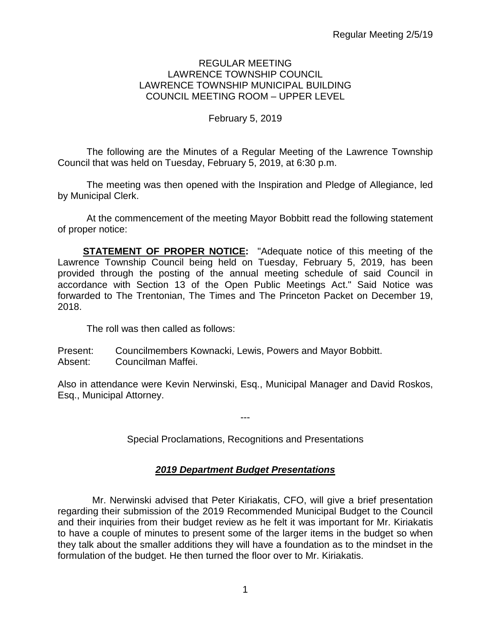#### REGULAR MEETING LAWRENCE TOWNSHIP COUNCIL LAWRENCE TOWNSHIP MUNICIPAL BUILDING COUNCIL MEETING ROOM – UPPER LEVEL

## February 5, 2019

The following are the Minutes of a Regular Meeting of the Lawrence Township Council that was held on Tuesday, February 5, 2019, at 6:30 p.m.

The meeting was then opened with the Inspiration and Pledge of Allegiance, led by Municipal Clerk.

At the commencement of the meeting Mayor Bobbitt read the following statement of proper notice:

**STATEMENT OF PROPER NOTICE:** "Adequate notice of this meeting of the Lawrence Township Council being held on Tuesday, February 5, 2019, has been provided through the posting of the annual meeting schedule of said Council in accordance with Section 13 of the Open Public Meetings Act." Said Notice was forwarded to The Trentonian, The Times and The Princeton Packet on December 19, 2018.

The roll was then called as follows:

Present: Councilmembers Kownacki, Lewis, Powers and Mayor Bobbitt. Absent: Councilman Maffei.

Also in attendance were Kevin Nerwinski, Esq., Municipal Manager and David Roskos, Esq., Municipal Attorney.

---

Special Proclamations, Recognitions and Presentations

# *2019 Department Budget Presentations*

Mr. Nerwinski advised that Peter Kiriakatis, CFO, will give a brief presentation regarding their submission of the 2019 Recommended Municipal Budget to the Council and their inquiries from their budget review as he felt it was important for Mr. Kiriakatis to have a couple of minutes to present some of the larger items in the budget so when they talk about the smaller additions they will have a foundation as to the mindset in the formulation of the budget. He then turned the floor over to Mr. Kiriakatis.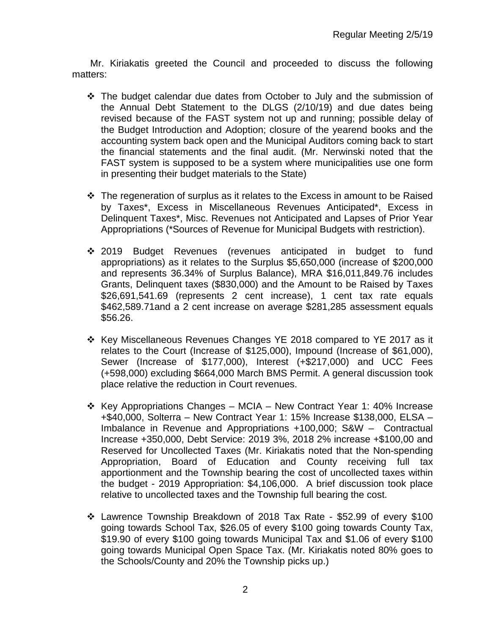Mr. Kiriakatis greeted the Council and proceeded to discuss the following matters:

- $\div$  The budget calendar due dates from October to July and the submission of the Annual Debt Statement to the DLGS (2/10/19) and due dates being revised because of the FAST system not up and running; possible delay of the Budget Introduction and Adoption; closure of the yearend books and the accounting system back open and the Municipal Auditors coming back to start the financial statements and the final audit. (Mr. Nerwinski noted that the FAST system is supposed to be a system where municipalities use one form in presenting their budget materials to the State)
- $\cdot$  The regeneration of surplus as it relates to the Excess in amount to be Raised by Taxes\*, Excess in Miscellaneous Revenues Anticipated\*, Excess in Delinquent Taxes\*, Misc. Revenues not Anticipated and Lapses of Prior Year Appropriations (\*Sources of Revenue for Municipal Budgets with restriction).
- 2019 Budget Revenues (revenues anticipated in budget to fund appropriations) as it relates to the Surplus \$5,650,000 (increase of \$200,000 and represents 36.34% of Surplus Balance), MRA \$16,011,849.76 includes Grants, Delinquent taxes (\$830,000) and the Amount to be Raised by Taxes \$26,691,541.69 (represents 2 cent increase), 1 cent tax rate equals \$462,589.71and a 2 cent increase on average \$281,285 assessment equals \$56.26.
- Key Miscellaneous Revenues Changes YE 2018 compared to YE 2017 as it relates to the Court (Increase of \$125,000), Impound (Increase of \$61,000), Sewer (Increase of \$177,000), Interest (+\$217,000) and UCC Fees (+598,000) excluding \$664,000 March BMS Permit. A general discussion took place relative the reduction in Court revenues.
- Key Appropriations Changes MCIA New Contract Year 1: 40% Increase +\$40,000, Solterra – New Contract Year 1: 15% Increase \$138,000, ELSA – Imbalance in Revenue and Appropriations +100,000; S&W – Contractual Increase +350,000, Debt Service: 2019 3%, 2018 2% increase +\$100,00 and Reserved for Uncollected Taxes (Mr. Kiriakatis noted that the Non-spending Appropriation, Board of Education and County receiving full tax apportionment and the Township bearing the cost of uncollected taxes within the budget - 2019 Appropriation: \$4,106,000. A brief discussion took place relative to uncollected taxes and the Township full bearing the cost.
- Lawrence Township Breakdown of 2018 Tax Rate \$52.99 of every \$100 going towards School Tax, \$26.05 of every \$100 going towards County Tax, \$19.90 of every \$100 going towards Municipal Tax and \$1.06 of every \$100 going towards Municipal Open Space Tax. (Mr. Kiriakatis noted 80% goes to the Schools/County and 20% the Township picks up.)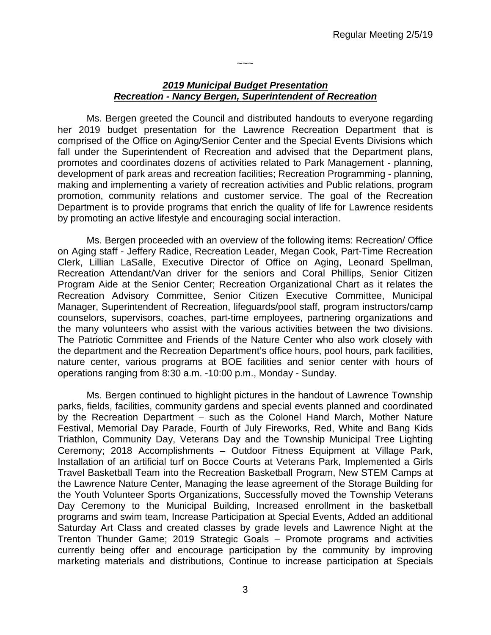## *2019 Municipal Budget Presentation Recreation - Nancy Bergen, Superintendent of Recreation*

 $\sim\sim\sim$ 

Ms. Bergen greeted the Council and distributed handouts to everyone regarding her 2019 budget presentation for the Lawrence Recreation Department that is comprised of the Office on Aging/Senior Center and the Special Events Divisions which fall under the Superintendent of Recreation and advised that the Department plans, promotes and coordinates dozens of activities related to Park Management - planning, development of park areas and recreation facilities; Recreation Programming - planning, making and implementing a variety of recreation activities and Public relations, program promotion, community relations and customer service. The goal of the Recreation Department is to provide programs that enrich the quality of life for Lawrence residents by promoting an active lifestyle and encouraging social interaction.

Ms. Bergen proceeded with an overview of the following items: Recreation/ Office on Aging staff - Jeffery Radice, Recreation Leader, Megan Cook, Part-Time Recreation Clerk, Lillian LaSalle, Executive Director of Office on Aging, Leonard Spellman, Recreation Attendant/Van driver for the seniors and Coral Phillips, Senior Citizen Program Aide at the Senior Center; Recreation Organizational Chart as it relates the Recreation Advisory Committee, Senior Citizen Executive Committee, Municipal Manager, Superintendent of Recreation, lifeguards/pool staff, program instructors/camp counselors, supervisors, coaches, part-time employees, partnering organizations and the many volunteers who assist with the various activities between the two divisions. The Patriotic Committee and Friends of the Nature Center who also work closely with the department and the Recreation Department's office hours, pool hours, park facilities, nature center, various programs at BOE facilities and senior center with hours of operations ranging from 8:30 a.m. -10:00 p.m., Monday - Sunday.

Ms. Bergen continued to highlight pictures in the handout of Lawrence Township parks, fields, facilities, community gardens and special events planned and coordinated by the Recreation Department – such as the Colonel Hand March, Mother Nature Festival, Memorial Day Parade, Fourth of July Fireworks, Red, White and Bang Kids Triathlon, Community Day, Veterans Day and the Township Municipal Tree Lighting Ceremony; 2018 Accomplishments – Outdoor Fitness Equipment at Village Park, Installation of an artificial turf on Bocce Courts at Veterans Park, Implemented a Girls Travel Basketball Team into the Recreation Basketball Program, New STEM Camps at the Lawrence Nature Center, Managing the lease agreement of the Storage Building for the Youth Volunteer Sports Organizations, Successfully moved the Township Veterans Day Ceremony to the Municipal Building, Increased enrollment in the basketball programs and swim team, Increase Participation at Special Events, Added an additional Saturday Art Class and created classes by grade levels and Lawrence Night at the Trenton Thunder Game; 2019 Strategic Goals – Promote programs and activities currently being offer and encourage participation by the community by improving marketing materials and distributions, Continue to increase participation at Specials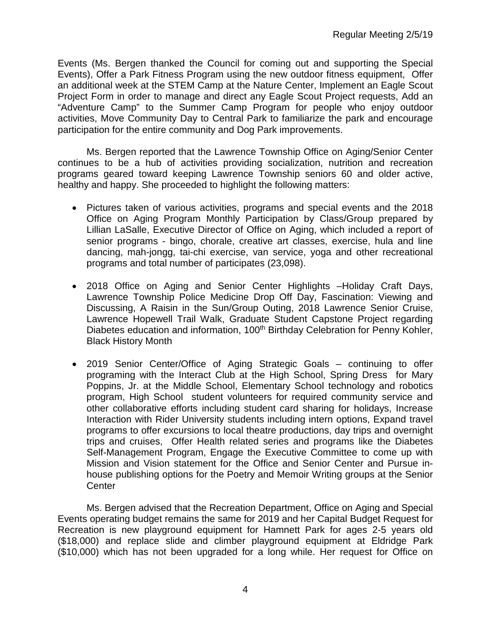Events (Ms. Bergen thanked the Council for coming out and supporting the Special Events), Offer a Park Fitness Program using the new outdoor fitness equipment, Offer an additional week at the STEM Camp at the Nature Center, Implement an Eagle Scout Project Form in order to manage and direct any Eagle Scout Project requests, Add an "Adventure Camp" to the Summer Camp Program for people who enjoy outdoor activities, Move Community Day to Central Park to familiarize the park and encourage participation for the entire community and Dog Park improvements.

Ms. Bergen reported that the Lawrence Township Office on Aging/Senior Center continues to be a hub of activities providing socialization, nutrition and recreation programs geared toward keeping Lawrence Township seniors 60 and older active, healthy and happy. She proceeded to highlight the following matters:

- Pictures taken of various activities, programs and special events and the 2018 Office on Aging Program Monthly Participation by Class/Group prepared by Lillian LaSalle, Executive Director of Office on Aging, which included a report of senior programs - bingo, chorale, creative art classes, exercise, hula and line dancing, mah-jongg, tai-chi exercise, van service, yoga and other recreational programs and total number of participates (23,098).
- 2018 Office on Aging and Senior Center Highlights –Holiday Craft Days, Lawrence Township Police Medicine Drop Off Day, Fascination: Viewing and Discussing, A Raisin in the Sun/Group Outing, 2018 Lawrence Senior Cruise, Lawrence Hopewell Trail Walk, Graduate Student Capstone Project regarding Diabetes education and information, 100<sup>th</sup> Birthday Celebration for Penny Kohler, Black History Month
- 2019 Senior Center/Office of Aging Strategic Goals continuing to offer programing with the Interact Club at the High School, Spring Dress for Mary Poppins, Jr. at the Middle School, Elementary School technology and robotics program, High School student volunteers for required community service and other collaborative efforts including student card sharing for holidays, Increase Interaction with Rider University students including intern options, Expand travel programs to offer excursions to local theatre productions, day trips and overnight trips and cruises, Offer Health related series and programs like the Diabetes Self-Management Program, Engage the Executive Committee to come up with Mission and Vision statement for the Office and Senior Center and Pursue inhouse publishing options for the Poetry and Memoir Writing groups at the Senior **Center**

Ms. Bergen advised that the Recreation Department, Office on Aging and Special Events operating budget remains the same for 2019 and her Capital Budget Request for Recreation is new playground equipment for Hamnett Park for ages 2-5 years old (\$18,000) and replace slide and climber playground equipment at Eldridge Park (\$10,000) which has not been upgraded for a long while. Her request for Office on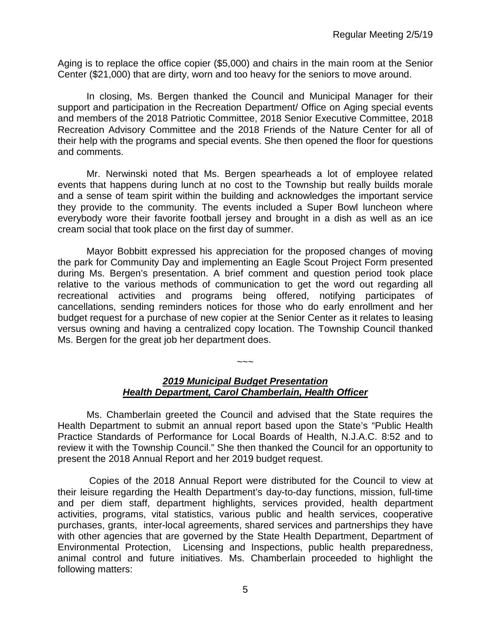Aging is to replace the office copier (\$5,000) and chairs in the main room at the Senior Center (\$21,000) that are dirty, worn and too heavy for the seniors to move around.

In closing, Ms. Bergen thanked the Council and Municipal Manager for their support and participation in the Recreation Department/ Office on Aging special events and members of the 2018 Patriotic Committee, 2018 Senior Executive Committee, 2018 Recreation Advisory Committee and the 2018 Friends of the Nature Center for all of their help with the programs and special events. She then opened the floor for questions and comments.

Mr. Nerwinski noted that Ms. Bergen spearheads a lot of employee related events that happens during lunch at no cost to the Township but really builds morale and a sense of team spirit within the building and acknowledges the important service they provide to the community. The events included a Super Bowl luncheon where everybody wore their favorite football jersey and brought in a dish as well as an ice cream social that took place on the first day of summer.

Mayor Bobbitt expressed his appreciation for the proposed changes of moving the park for Community Day and implementing an Eagle Scout Project Form presented during Ms. Bergen's presentation. A brief comment and question period took place relative to the various methods of communication to get the word out regarding all recreational activities and programs being offered, notifying participates of cancellations, sending reminders notices for those who do early enrollment and her budget request for a purchase of new copier at the Senior Center as it relates to leasing versus owning and having a centralized copy location. The Township Council thanked Ms. Bergen for the great job her department does.

## *2019 Municipal Budget Presentation Health Department, Carol Chamberlain, Health Officer*

 $\sim\sim\sim$ 

Ms. Chamberlain greeted the Council and advised that the State requires the Health Department to submit an annual report based upon the State's "Public Health Practice Standards of Performance for Local Boards of Health, N.J.A.C. 8:52 and to review it with the Township Council." She then thanked the Council for an opportunity to present the 2018 Annual Report and her 2019 budget request.

Copies of the 2018 Annual Report were distributed for the Council to view at their leisure regarding the Health Department's day-to-day functions, mission, full-time and per diem staff, department highlights, services provided, health department activities, programs, vital statistics, various public and health services, cooperative purchases, grants, inter-local agreements, shared services and partnerships they have with other agencies that are governed by the State Health Department, Department of Environmental Protection, Licensing and Inspections, public health preparedness, animal control and future initiatives. Ms. Chamberlain proceeded to highlight the following matters: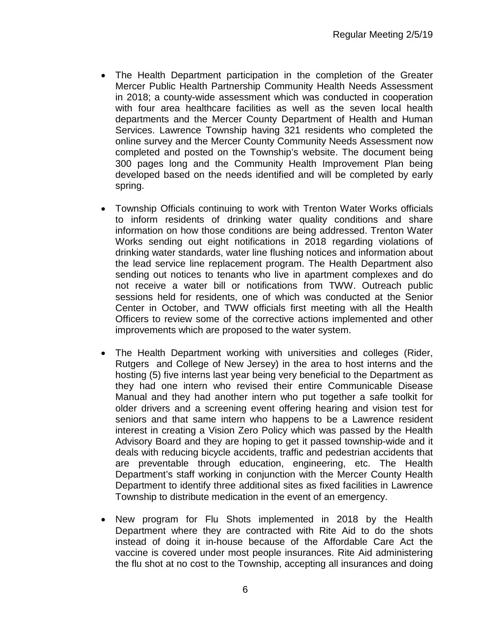- The Health Department participation in the completion of the Greater Mercer Public Health Partnership Community Health Needs Assessment in 2018; a county-wide assessment which was conducted in cooperation with four area healthcare facilities as well as the seven local health departments and the Mercer County Department of Health and Human Services. Lawrence Township having 321 residents who completed the online survey and the Mercer County Community Needs Assessment now completed and posted on the Township's website. The document being 300 pages long and the Community Health Improvement Plan being developed based on the needs identified and will be completed by early spring.
- Township Officials continuing to work with Trenton Water Works officials to inform residents of drinking water quality conditions and share information on how those conditions are being addressed. Trenton Water Works sending out eight notifications in 2018 regarding violations of drinking water standards, water line flushing notices and information about the lead service line replacement program. The Health Department also sending out notices to tenants who live in apartment complexes and do not receive a water bill or notifications from TWW. Outreach public sessions held for residents, one of which was conducted at the Senior Center in October, and TWW officials first meeting with all the Health Officers to review some of the corrective actions implemented and other improvements which are proposed to the water system.
- The Health Department working with universities and colleges (Rider, Rutgers and College of New Jersey) in the area to host interns and the hosting (5) five interns last year being very beneficial to the Department as they had one intern who revised their entire Communicable Disease Manual and they had another intern who put together a safe toolkit for older drivers and a screening event offering hearing and vision test for seniors and that same intern who happens to be a Lawrence resident interest in creating a Vision Zero Policy which was passed by the Health Advisory Board and they are hoping to get it passed township-wide and it deals with reducing bicycle accidents, traffic and pedestrian accidents that are preventable through education, engineering, etc. The Health Department's staff working in conjunction with the Mercer County Health Department to identify three additional sites as fixed facilities in Lawrence Township to distribute medication in the event of an emergency.
- New program for Flu Shots implemented in 2018 by the Health Department where they are contracted with Rite Aid to do the shots instead of doing it in-house because of the Affordable Care Act the vaccine is covered under most people insurances. Rite Aid administering the flu shot at no cost to the Township, accepting all insurances and doing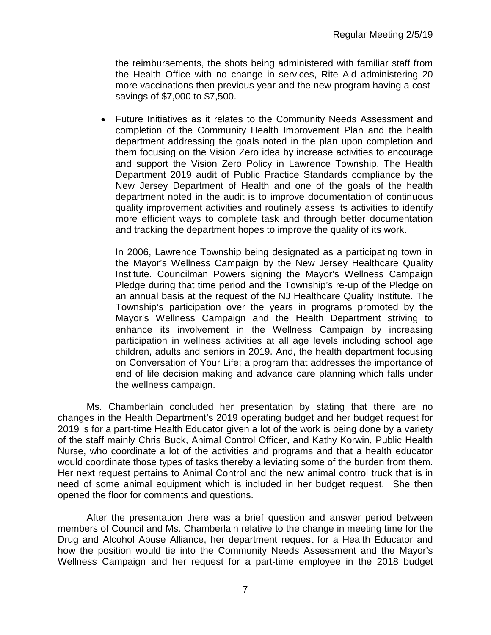the reimbursements, the shots being administered with familiar staff from the Health Office with no change in services, Rite Aid administering 20 more vaccinations then previous year and the new program having a costsavings of \$7,000 to \$7,500.

• Future Initiatives as it relates to the Community Needs Assessment and completion of the Community Health Improvement Plan and the health department addressing the goals noted in the plan upon completion and them focusing on the Vision Zero idea by increase activities to encourage and support the Vision Zero Policy in Lawrence Township. The Health Department 2019 audit of Public Practice Standards compliance by the New Jersey Department of Health and one of the goals of the health department noted in the audit is to improve documentation of continuous quality improvement activities and routinely assess its activities to identify more efficient ways to complete task and through better documentation and tracking the department hopes to improve the quality of its work.

In 2006, Lawrence Township being designated as a participating town in the Mayor's Wellness Campaign by the New Jersey Healthcare Quality Institute. Councilman Powers signing the Mayor's Wellness Campaign Pledge during that time period and the Township's re-up of the Pledge on an annual basis at the request of the NJ Healthcare Quality Institute. The Township's participation over the years in programs promoted by the Mayor's Wellness Campaign and the Health Department striving to enhance its involvement in the Wellness Campaign by increasing participation in wellness activities at all age levels including school age children, adults and seniors in 2019. And, the health department focusing on Conversation of Your Life; a program that addresses the importance of end of life decision making and advance care planning which falls under the wellness campaign.

Ms. Chamberlain concluded her presentation by stating that there are no changes in the Health Department's 2019 operating budget and her budget request for 2019 is for a part-time Health Educator given a lot of the work is being done by a variety of the staff mainly Chris Buck, Animal Control Officer, and Kathy Korwin, Public Health Nurse, who coordinate a lot of the activities and programs and that a health educator would coordinate those types of tasks thereby alleviating some of the burden from them. Her next request pertains to Animal Control and the new animal control truck that is in need of some animal equipment which is included in her budget request. She then opened the floor for comments and questions.

After the presentation there was a brief question and answer period between members of Council and Ms. Chamberlain relative to the change in meeting time for the Drug and Alcohol Abuse Alliance, her department request for a Health Educator and how the position would tie into the Community Needs Assessment and the Mayor's Wellness Campaign and her request for a part-time employee in the 2018 budget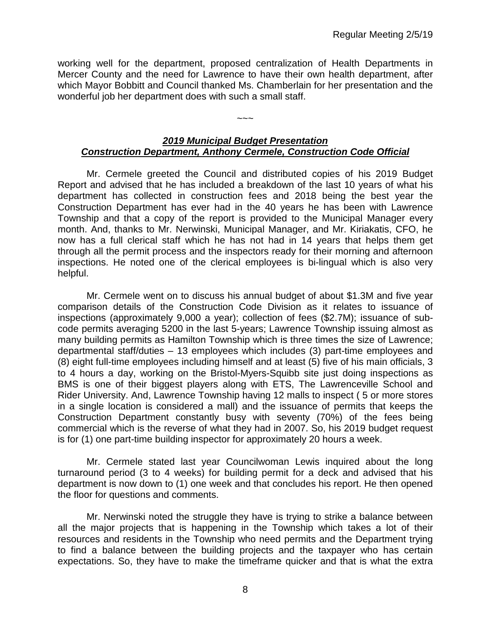working well for the department, proposed centralization of Health Departments in Mercer County and the need for Lawrence to have their own health department, after which Mayor Bobbitt and Council thanked Ms. Chamberlain for her presentation and the wonderful job her department does with such a small staff.

#### *2019 Municipal Budget Presentation Construction Department, Anthony Cermele, Construction Code Official*

 $\sim$   $\sim$   $\sim$ 

Mr. Cermele greeted the Council and distributed copies of his 2019 Budget Report and advised that he has included a breakdown of the last 10 years of what his department has collected in construction fees and 2018 being the best year the Construction Department has ever had in the 40 years he has been with Lawrence Township and that a copy of the report is provided to the Municipal Manager every month. And, thanks to Mr. Nerwinski, Municipal Manager, and Mr. Kiriakatis, CFO, he now has a full clerical staff which he has not had in 14 years that helps them get through all the permit process and the inspectors ready for their morning and afternoon inspections. He noted one of the clerical employees is bi-lingual which is also very helpful.

Mr. Cermele went on to discuss his annual budget of about \$1.3M and five year comparison details of the Construction Code Division as it relates to issuance of inspections (approximately 9,000 a year); collection of fees (\$2.7M); issuance of subcode permits averaging 5200 in the last 5-years; Lawrence Township issuing almost as many building permits as Hamilton Township which is three times the size of Lawrence; departmental staff/duties – 13 employees which includes (3) part-time employees and (8) eight full-time employees including himself and at least (5) five of his main officials, 3 to 4 hours a day, working on the Bristol-Myers-Squibb site just doing inspections as BMS is one of their biggest players along with ETS, The Lawrenceville School and Rider University. And, Lawrence Township having 12 malls to inspect ( 5 or more stores in a single location is considered a mall) and the issuance of permits that keeps the Construction Department constantly busy with seventy (70%) of the fees being commercial which is the reverse of what they had in 2007. So, his 2019 budget request is for (1) one part-time building inspector for approximately 20 hours a week.

Mr. Cermele stated last year Councilwoman Lewis inquired about the long turnaround period (3 to 4 weeks) for building permit for a deck and advised that his department is now down to (1) one week and that concludes his report. He then opened the floor for questions and comments.

Mr. Nerwinski noted the struggle they have is trying to strike a balance between all the major projects that is happening in the Township which takes a lot of their resources and residents in the Township who need permits and the Department trying to find a balance between the building projects and the taxpayer who has certain expectations. So, they have to make the timeframe quicker and that is what the extra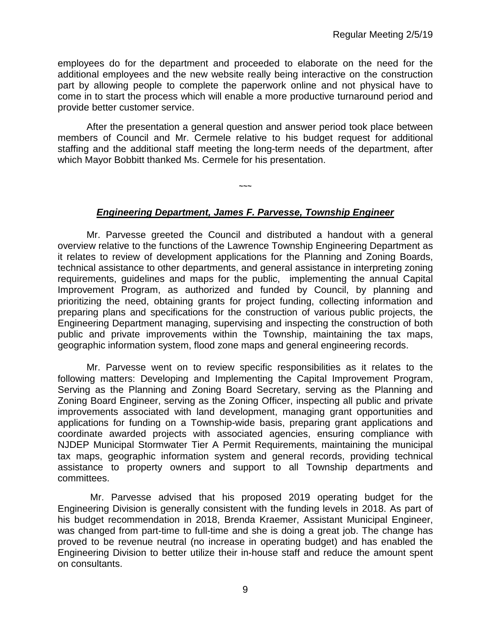employees do for the department and proceeded to elaborate on the need for the additional employees and the new website really being interactive on the construction part by allowing people to complete the paperwork online and not physical have to come in to start the process which will enable a more productive turnaround period and provide better customer service.

After the presentation a general question and answer period took place between members of Council and Mr. Cermele relative to his budget request for additional staffing and the additional staff meeting the long-term needs of the department, after which Mayor Bobbitt thanked Ms. Cermele for his presentation.

## *Engineering Department, James F. Parvesse, Township Engineer*

**~~~**

Mr. Parvesse greeted the Council and distributed a handout with a general overview relative to the functions of the Lawrence Township Engineering Department as it relates to review of development applications for the Planning and Zoning Boards, technical assistance to other departments, and general assistance in interpreting zoning requirements, guidelines and maps for the public, implementing the annual Capital Improvement Program, as authorized and funded by Council, by planning and prioritizing the need, obtaining grants for project funding, collecting information and preparing plans and specifications for the construction of various public projects, the Engineering Department managing, supervising and inspecting the construction of both public and private improvements within the Township, maintaining the tax maps, geographic information system, flood zone maps and general engineering records.

Mr. Parvesse went on to review specific responsibilities as it relates to the following matters: Developing and Implementing the Capital Improvement Program, Serving as the Planning and Zoning Board Secretary, serving as the Planning and Zoning Board Engineer, serving as the Zoning Officer, inspecting all public and private improvements associated with land development, managing grant opportunities and applications for funding on a Township-wide basis, preparing grant applications and coordinate awarded projects with associated agencies, ensuring compliance with NJDEP Municipal Stormwater Tier A Permit Requirements, maintaining the municipal tax maps, geographic information system and general records, providing technical assistance to property owners and support to all Township departments and committees.

Mr. Parvesse advised that his proposed 2019 operating budget for the Engineering Division is generally consistent with the funding levels in 2018. As part of his budget recommendation in 2018, Brenda Kraemer, Assistant Municipal Engineer, was changed from part-time to full-time and she is doing a great job. The change has proved to be revenue neutral (no increase in operating budget) and has enabled the Engineering Division to better utilize their in-house staff and reduce the amount spent on consultants.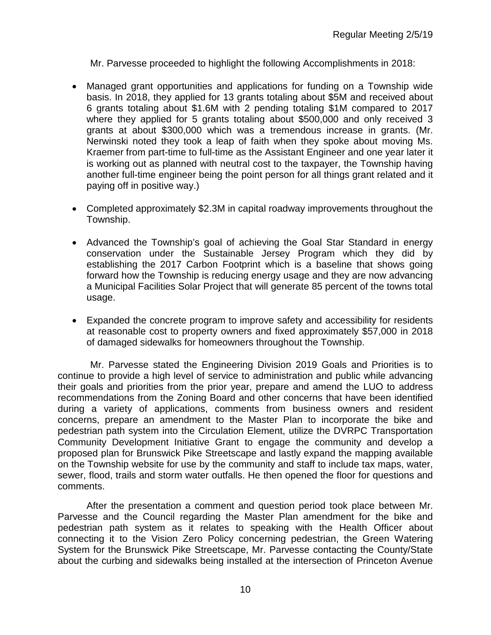Mr. Parvesse proceeded to highlight the following Accomplishments in 2018:

- Managed grant opportunities and applications for funding on a Township wide basis. In 2018, they applied for 13 grants totaling about \$5M and received about 6 grants totaling about \$1.6M with 2 pending totaling \$1M compared to 2017 where they applied for 5 grants totaling about \$500,000 and only received 3 grants at about \$300,000 which was a tremendous increase in grants. (Mr. Nerwinski noted they took a leap of faith when they spoke about moving Ms. Kraemer from part-time to full-time as the Assistant Engineer and one year later it is working out as planned with neutral cost to the taxpayer, the Township having another full-time engineer being the point person for all things grant related and it paying off in positive way.)
- Completed approximately \$2.3M in capital roadway improvements throughout the Township.
- Advanced the Township's goal of achieving the Goal Star Standard in energy conservation under the Sustainable Jersey Program which they did by establishing the 2017 Carbon Footprint which is a baseline that shows going forward how the Township is reducing energy usage and they are now advancing a Municipal Facilities Solar Project that will generate 85 percent of the towns total usage.
- Expanded the concrete program to improve safety and accessibility for residents at reasonable cost to property owners and fixed approximately \$57,000 in 2018 of damaged sidewalks for homeowners throughout the Township.

Mr. Parvesse stated the Engineering Division 2019 Goals and Priorities is to continue to provide a high level of service to administration and public while advancing their goals and priorities from the prior year, prepare and amend the LUO to address recommendations from the Zoning Board and other concerns that have been identified during a variety of applications, comments from business owners and resident concerns, prepare an amendment to the Master Plan to incorporate the bike and pedestrian path system into the Circulation Element, utilize the DVRPC Transportation Community Development Initiative Grant to engage the community and develop a proposed plan for Brunswick Pike Streetscape and lastly expand the mapping available on the Township website for use by the community and staff to include tax maps, water, sewer, flood, trails and storm water outfalls. He then opened the floor for questions and comments.

After the presentation a comment and question period took place between Mr. Parvesse and the Council regarding the Master Plan amendment for the bike and pedestrian path system as it relates to speaking with the Health Officer about connecting it to the Vision Zero Policy concerning pedestrian, the Green Watering System for the Brunswick Pike Streetscape, Mr. Parvesse contacting the County/State about the curbing and sidewalks being installed at the intersection of Princeton Avenue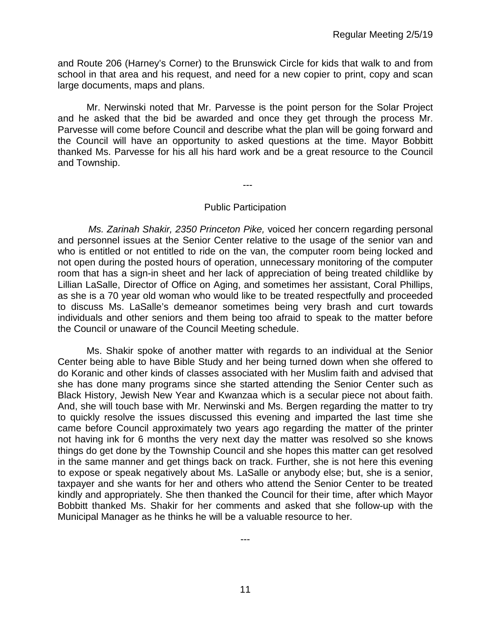and Route 206 (Harney's Corner) to the Brunswick Circle for kids that walk to and from school in that area and his request, and need for a new copier to print, copy and scan large documents, maps and plans.

Mr. Nerwinski noted that Mr. Parvesse is the point person for the Solar Project and he asked that the bid be awarded and once they get through the process Mr. Parvesse will come before Council and describe what the plan will be going forward and the Council will have an opportunity to asked questions at the time. Mayor Bobbitt thanked Ms. Parvesse for his all his hard work and be a great resource to the Council and Township.

---

#### Public Participation

 *Ms. Zarinah Shakir, 2350 Princeton Pike,* voiced her concern regarding personal and personnel issues at the Senior Center relative to the usage of the senior van and who is entitled or not entitled to ride on the van, the computer room being locked and not open during the posted hours of operation, unnecessary monitoring of the computer room that has a sign-in sheet and her lack of appreciation of being treated childlike by Lillian LaSalle, Director of Office on Aging, and sometimes her assistant, Coral Phillips, as she is a 70 year old woman who would like to be treated respectfully and proceeded to discuss Ms. LaSalle's demeanor sometimes being very brash and curt towards individuals and other seniors and them being too afraid to speak to the matter before the Council or unaware of the Council Meeting schedule.

Ms. Shakir spoke of another matter with regards to an individual at the Senior Center being able to have Bible Study and her being turned down when she offered to do Koranic and other kinds of classes associated with her Muslim faith and advised that she has done many programs since she started attending the Senior Center such as Black History, Jewish New Year and Kwanzaa which is a secular piece not about faith. And, she will touch base with Mr. Nerwinski and Ms. Bergen regarding the matter to try to quickly resolve the issues discussed this evening and imparted the last time she came before Council approximately two years ago regarding the matter of the printer not having ink for 6 months the very next day the matter was resolved so she knows things do get done by the Township Council and she hopes this matter can get resolved in the same manner and get things back on track. Further, she is not here this evening to expose or speak negatively about Ms. LaSalle or anybody else; but, she is a senior, taxpayer and she wants for her and others who attend the Senior Center to be treated kindly and appropriately. She then thanked the Council for their time, after which Mayor Bobbitt thanked Ms. Shakir for her comments and asked that she follow-up with the Municipal Manager as he thinks he will be a valuable resource to her.

---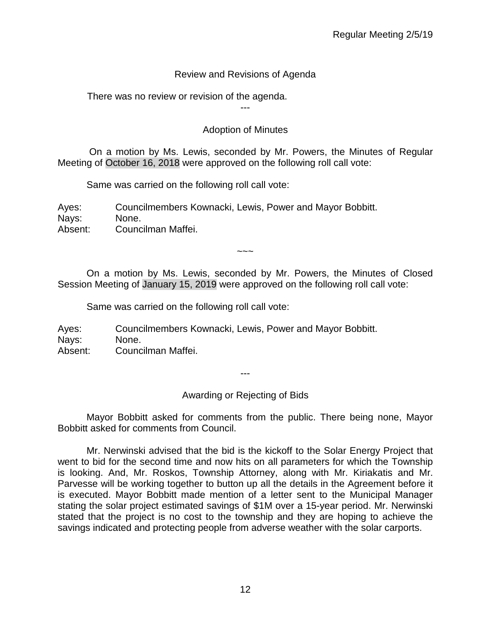# Review and Revisions of Agenda

There was no review or revision of the agenda.

---

# Adoption of Minutes

On a motion by Ms. Lewis, seconded by Mr. Powers, the Minutes of Regular Meeting of October 16, 2018 were approved on the following roll call vote:

Same was carried on the following roll call vote:

Ayes: Councilmembers Kownacki, Lewis, Power and Mayor Bobbitt. Nays: None. Absent: Councilman Maffei.

 $\sim\sim\sim$ 

On a motion by Ms. Lewis, seconded by Mr. Powers, the Minutes of Closed Session Meeting of January 15, 2019 were approved on the following roll call vote:

Same was carried on the following roll call vote:

Ayes: Councilmembers Kownacki, Lewis, Power and Mayor Bobbitt. Nays: None. Absent: Councilman Maffei.

---

Awarding or Rejecting of Bids

Mayor Bobbitt asked for comments from the public. There being none, Mayor Bobbitt asked for comments from Council.

Mr. Nerwinski advised that the bid is the kickoff to the Solar Energy Project that went to bid for the second time and now hits on all parameters for which the Township is looking. And, Mr. Roskos, Township Attorney, along with Mr. Kiriakatis and Mr. Parvesse will be working together to button up all the details in the Agreement before it is executed. Mayor Bobbitt made mention of a letter sent to the Municipal Manager stating the solar project estimated savings of \$1M over a 15-year period. Mr. Nerwinski stated that the project is no cost to the township and they are hoping to achieve the savings indicated and protecting people from adverse weather with the solar carports.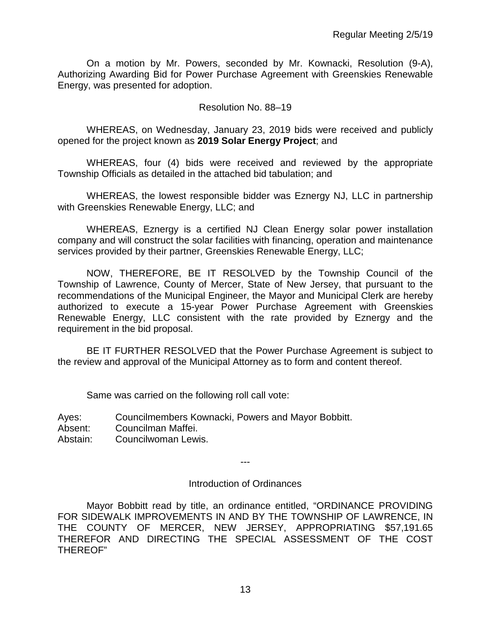On a motion by Mr. Powers, seconded by Mr. Kownacki, Resolution (9-A), Authorizing Awarding Bid for Power Purchase Agreement with Greenskies Renewable Energy, was presented for adoption.

#### Resolution No. 88–19

WHEREAS, on Wednesday, January 23, 2019 bids were received and publicly opened for the project known as **2019 Solar Energy Project**; and

WHEREAS, four (4) bids were received and reviewed by the appropriate Township Officials as detailed in the attached bid tabulation; and

WHEREAS, the lowest responsible bidder was Eznergy NJ, LLC in partnership with Greenskies Renewable Energy, LLC; and

WHEREAS, Eznergy is a certified NJ Clean Energy solar power installation company and will construct the solar facilities with financing, operation and maintenance services provided by their partner, Greenskies Renewable Energy, LLC;

NOW, THEREFORE, BE IT RESOLVED by the Township Council of the Township of Lawrence, County of Mercer, State of New Jersey, that pursuant to the recommendations of the Municipal Engineer, the Mayor and Municipal Clerk are hereby authorized to execute a 15-year Power Purchase Agreement with Greenskies Renewable Energy, LLC consistent with the rate provided by Eznergy and the requirement in the bid proposal.

BE IT FURTHER RESOLVED that the Power Purchase Agreement is subject to the review and approval of the Municipal Attorney as to form and content thereof.

Same was carried on the following roll call vote:

| Ayes: |  | Councilmembers Kownacki, Powers and Mayor Bobbitt. |  |
|-------|--|----------------------------------------------------|--|
|-------|--|----------------------------------------------------|--|

Absent: Councilman Maffei.

Abstain: Councilwoman Lewis.

---

#### Introduction of Ordinances

Mayor Bobbitt read by title, an ordinance entitled, "ORDINANCE PROVIDING FOR SIDEWALK IMPROVEMENTS IN AND BY THE TOWNSHIP OF LAWRENCE, IN THE COUNTY OF MERCER, NEW JERSEY, APPROPRIATING \$57,191.65 THEREFOR AND DIRECTING THE SPECIAL ASSESSMENT OF THE COST THEREOF"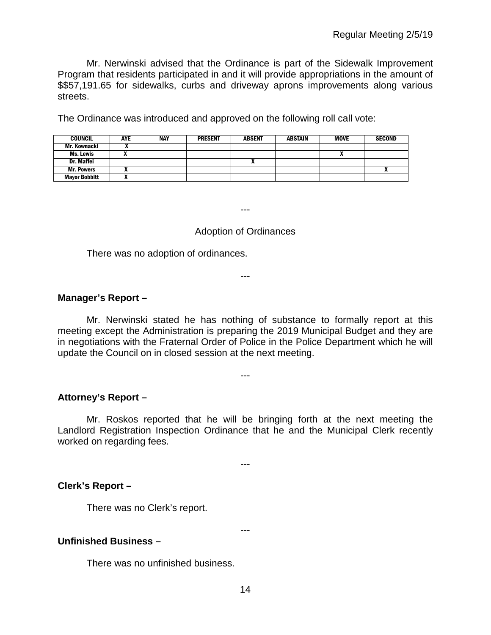Mr. Nerwinski advised that the Ordinance is part of the Sidewalk Improvement Program that residents participated in and it will provide appropriations in the amount of \$\$57,191.65 for sidewalks, curbs and driveway aprons improvements along various streets.

The Ordinance was introduced and approved on the following roll call vote:

| <b>COUNCIL</b>       | <b>AYE</b> | NAY | <b>PRESENT</b> | <b>ABSENT</b> | <b>ABSTAIN</b> | <b>MOVE</b> | <b>SECOND</b> |
|----------------------|------------|-----|----------------|---------------|----------------|-------------|---------------|
| Mr. Kownacki         |            |     |                |               |                |             |               |
| Ms. Lewis            |            |     |                |               |                |             |               |
| Dr. Maffei           |            |     |                |               |                |             |               |
| <b>Mr. Powers</b>    |            |     |                |               |                |             |               |
| <b>Mayor Bobbitt</b> |            |     |                |               |                |             |               |

---

#### Adoption of Ordinances

---

There was no adoption of ordinances.

**Manager's Report –**

Mr. Nerwinski stated he has nothing of substance to formally report at this meeting except the Administration is preparing the 2019 Municipal Budget and they are in negotiations with the Fraternal Order of Police in the Police Department which he will update the Council on in closed session at the next meeting.

---

**Attorney's Report –**

Mr. Roskos reported that he will be bringing forth at the next meeting the Landlord Registration Inspection Ordinance that he and the Municipal Clerk recently worked on regarding fees.

---

**Clerk's Report –** 

There was no Clerk's report.

**Unfinished Business –**

There was no unfinished business.

---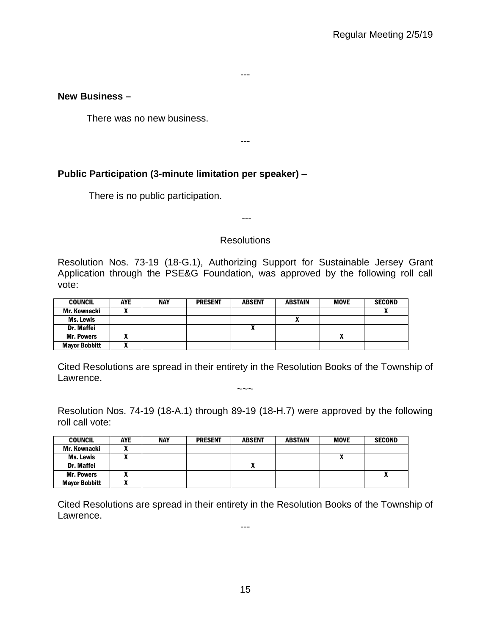# **New Business –**

There was no new business.

---

---

# **Public Participation (3-minute limitation per speaker)** –

There is no public participation.

## **Resolutions**

---

Resolution Nos. 73-19 (18-G.1), Authorizing Support for Sustainable Jersey Grant Application through the PSE&G Foundation, was approved by the following roll call vote:

| <b>COUNCIL</b>       | <b>AYE</b> | <b>NAY</b> | <b>PRESENT</b> | <b>ABSENT</b> | <b>ABSTAIN</b> | <b>MOVE</b> | <b>SECOND</b> |
|----------------------|------------|------------|----------------|---------------|----------------|-------------|---------------|
| Mr. Kownacki         |            |            |                |               |                |             |               |
| Ms. Lewis            |            |            |                |               |                |             |               |
| <b>Dr. Maffei</b>    |            |            |                |               |                |             |               |
| <b>Mr. Powers</b>    |            |            |                |               |                | Δ           |               |
| <b>Mayor Bobbitt</b> |            |            |                |               |                |             |               |

Cited Resolutions are spread in their entirety in the Resolution Books of the Township of Lawrence.

 $\sim\sim\sim$ 

Resolution Nos. 74-19 (18-A.1) through 89-19 (18-H.7) were approved by the following roll call vote:

| <b>COUNCIL</b>       | <b>AYE</b> | <b>NAY</b> | <b>PRESENT</b> | <b>ABSENT</b> | ABSTAIN | <b>MOVE</b> | <b>SECOND</b>            |
|----------------------|------------|------------|----------------|---------------|---------|-------------|--------------------------|
| Mr. Kownacki         |            |            |                |               |         |             |                          |
| Ms. Lewis            |            |            |                |               |         | n           |                          |
| Dr. Maffei           |            |            |                | "             |         |             |                          |
| <b>Mr. Powers</b>    |            |            |                |               |         |             | $\overline{\phantom{a}}$ |
| <b>Mayor Bobbitt</b> |            |            |                |               |         |             |                          |

Cited Resolutions are spread in their entirety in the Resolution Books of the Township of Lawrence.

---